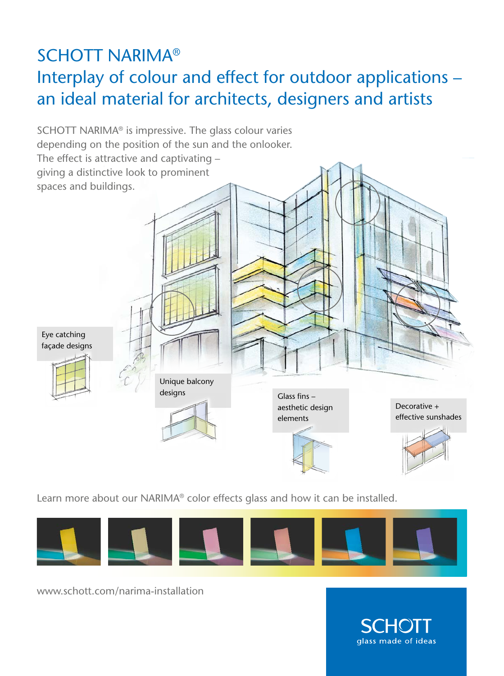## SCHOTT NARIMA® Interplay of colour and effect for outdoor applications – an ideal material for architects, designers and artists



Learn more about our NARIMA® color effects glass and how it can be installed.



www.schott.com/narima-installation